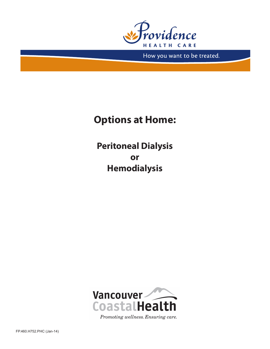

How you want to be treated.

# **Options at Home:**

**Peritoneal Dialysis or Hemodialysis**

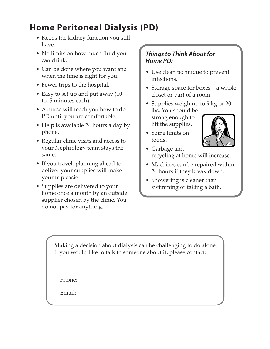### **Home Peritoneal Dialysis (PD)**

- Keeps the kidney function you still have.
- No limits on how much fluid you can drink.
- Can be done where you want and when the time is right for you.
- Fewer trips to the hospital.
- Easy to set up and put away (10) to15 minutes each).
- A nurse will teach you how to do PD until you are comfortable.
- Help is available 24 hours a day by phone.
- Regular clinic visits and access to your Nephrology team stays the same.
- If you travel, planning ahead to deliver your supplies will make your trip easier.
- Supplies are delivered to your home once a month by an outside supplier chosen by the clinic. You do not pay for anything.

#### *Things to Think About for Home PD:*

- Use clean technique to prevent infections.
- Storage space for boxes a whole closet or part of a room.
- Supplies weigh up to 9 kg or 20 lbs. You should be strong enough to lift the supplies.
- Some limits on foods.



- • Garbage and recycling at home will increase.
- Machines can be repaired within 24 hours if they break down.
- Showering is cleaner than swimming or taking a bath.

Making a decision about dialysis can be challenging to do alone. If you would like to talk to someone about it, please contact:

\_\_\_\_\_\_\_\_\_\_\_\_\_\_\_\_\_\_\_\_\_\_\_\_\_\_\_\_\_\_\_\_\_\_\_\_\_\_\_\_\_\_\_\_\_\_\_\_\_\_\_

Phone:\_\_\_\_\_\_\_\_\_\_\_\_\_\_\_\_\_\_\_\_\_\_\_\_\_\_\_\_\_\_\_\_\_\_\_\_\_\_\_\_\_\_\_\_\_

Email:  $\blacksquare$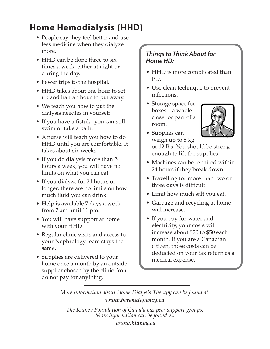## **Home Hemodialysis (HHD)**

- People say they feel better and use less medicine when they dialyze more.
- HHD can be done three to six times a week, either at night or during the day.
- Fewer trips to the hospital.
- HHD takes about one hour to set up and half an hour to put away.
- We teach you how to put the dialysis needles in yourself.
- If you have a fistula, you can still swim or take a bath.
- A nurse will teach you how to do HHD until you are comfortable. It takes about six weeks.
- If you do dialysis more than 24 hours a week, you will have no limits on what you can eat.
- If you dialyze for 24 hours or longer, there are no limits on how much fluid you can drink.
- Help is available 7 days a week from 7 am until 11 pm.
- You will have support at home with your HHD
- Regular clinic visits and access to your Nephrology team stays the same.
- Supplies are delivered to your home once a month by an outside supplier chosen by the clinic. You do not pay for anything.

### *Things to Think About for Home HD:*

- HHD is more complicated than PD.
- Use clean technique to prevent infections.
- Storage space for boxes – a whole closet or part of a room.



- Supplies can weigh up to 5 kg or 12 lbs. You should be strong enough to lift the supplies.
- Machines can be repaired within 24 hours if they break down.
- Travelling for more than two or three days is difficult.
- Limit how much salt you eat.
- Garbage and recycling at home will increase.
- If you pay for water and electricity, your costs will increase about \$20 to \$50 each month. If you are a Canadian citizen, those costs can be deducted on your tax return as a medical expense.

*More information about Home Dialysis Therapy can be found at: www.bcrenalagency.ca*

*The Kidney Foundation of Canada has peer support groups. More information can be found at: www.kidney.ca*